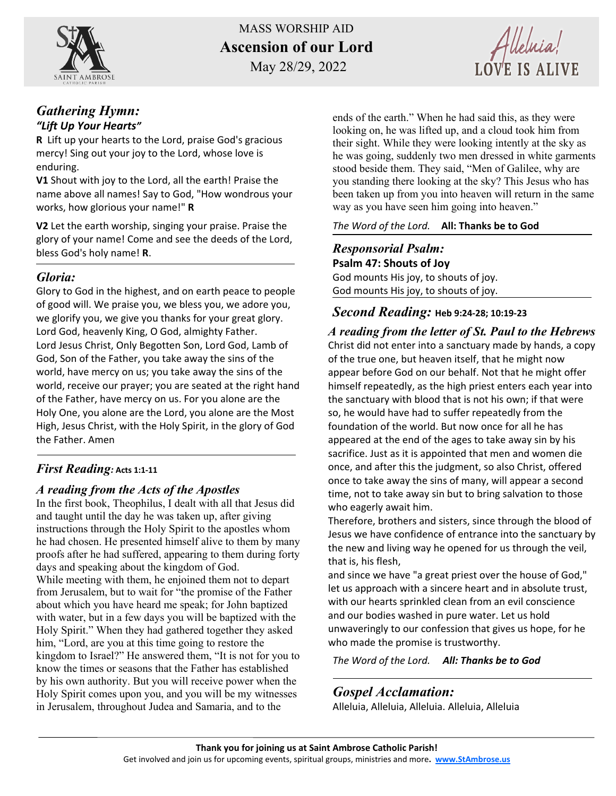

MASS WORSHIP AID **Ascension of our Lord**

May 28/29, 2022

Alleluia!

#### *Gathering Hymn: "Lift Up Your Hearts"*

**R** Lift up your hearts to the Lord, praise God's gracious mercy! Sing out your joy to the Lord, whose love is enduring.

**V1** Shout with joy to the Lord, all the earth! Praise the name above all names! Say to God, "How wondrous your works, how glorious your name!" **R**

**V2** Let the earth worship, singing your praise. Praise the glory of your name! Come and see the deeds of the Lord, bless God's holy name! **R**.

## *Gloria:*

Glory to God in the highest, and on earth peace to people of good will. We praise you, we bless you, we adore you, we glorify you, we give you thanks for your great glory. Lord God, heavenly King, O God, almighty Father. Lord Jesus Christ, Only Begotten Son, Lord God, Lamb of God, Son of the Father, you take away the sins of the world, have mercy on us; you take away the sins of the world, receive our prayer; you are seated at the right hand of the Father, have mercy on us. For you alone are the Holy One, you alone are the Lord, you alone are the Most High, Jesus Christ, with the Holy Spirit, in the glory of God the Father. Amen

## *First Reading:* **Acts 1:1-11**

#### *A reading from the Acts of the Apostles*

In the first book, Theophilus, I dealt with all that Jesus did and taught until the day he was taken up, after giving instructions through the Holy Spirit to the apostles whom he had chosen. He presented himself alive to them by many proofs after he had suffered, appearing to them during forty days and speaking about the kingdom of God. While meeting with them, he enjoined them not to depart from Jerusalem, but to wait for "the promise of the Father about which you have heard me speak; for John baptized with water, but in a few days you will be baptized with the Holy Spirit." When they had gathered together they asked him, "Lord, are you at this time going to restore the kingdom to Israel?" He answered them, "It is not for you to know the times or seasons that the Father has established by his own authority. But you will receive power when the Holy Spirit comes upon you, and you will be my witnesses in Jerusalem, throughout Judea and Samaria, and to the

ends of the earth." When he had said this, as they were looking on, he was lifted up, and a cloud took him from their sight. While they were looking intently at the sky as he was going, suddenly two men dressed in white garments stood beside them. They said, "Men of Galilee, why are you standing there looking at the sky? This Jesus who has been taken up from you into heaven will return in the same way as you have seen him going into heaven."

#### *The Word of the Lord.* **All: Thanks be to God**

*Responsorial Psalm:*  **Psalm 47: Shouts of Joy** God mounts His joy, to shouts of joy. God mounts His joy, to shouts of joy.

## *Second Reading:* **Heb 9:24-28; 10:19-23**

*A reading from the letter of St. Paul to the Hebrews* Christ did not enter into a sanctuary made by hands, a copy of the true one, but heaven itself, that he might now appear before God on our behalf. Not that he might offer himself repeatedly, as the high priest enters each year into the sanctuary with blood that is not his own; if that were so, he would have had to suffer repeatedly from the foundation of the world. But now once for all he has appeared at the end of the ages to take away sin by his sacrifice. Just as it is appointed that men and women die once, and after this the judgment, so also Christ, offered once to take away the sins of many, will appear a second time, not to take away sin but to bring salvation to those who eagerly await him.

Therefore, brothers and sisters, since through the blood of Jesus we have confidence of entrance into the sanctuary by the new and living way he opened for us through the veil, that is, his flesh,

and since we have "a great priest over the house of God," let us approach with a sincere heart and in absolute trust, with our hearts sprinkled clean from an evil conscience and our bodies washed in pure water. Let us hold unwaveringly to our confession that gives us hope, for he who made the promise is trustworthy.

*The Word of the Lord. All: Thanks be to God*

# *Gospel Acclamation:*

Alleluia, Alleluia, Alleluia. Alleluia, Alleluia